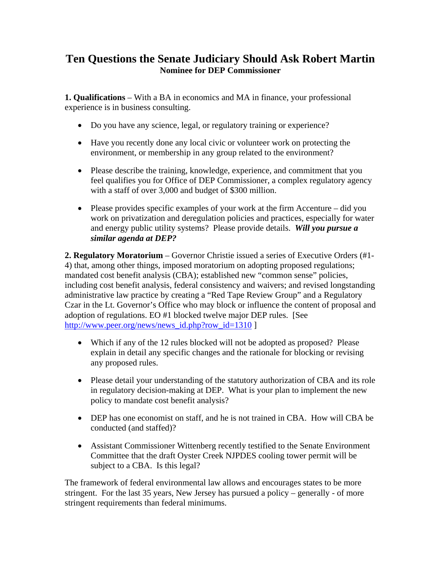## **Ten Questions the Senate Judiciary Should Ask Robert Martin Nominee for DEP Commissioner**

**1. Qualifications** – With a BA in economics and MA in finance, your professional experience is in business consulting.

- Do you have any science, legal, or regulatory training or experience?
- Have you recently done any local civic or volunteer work on protecting the environment, or membership in any group related to the environment?
- Please describe the training, knowledge, experience, and commitment that you feel qualifies you for Office of DEP Commissioner, a complex regulatory agency with a staff of over 3,000 and budget of \$300 million.
- Please provides specific examples of your work at the firm Accenture did you work on privatization and deregulation policies and practices, especially for water and energy public utility systems? Please provide details. *Will you pursue a similar agenda at DEP?*

**2. Regulatory Moratorium** – Governor Christie issued a series of Executive Orders (#1- 4) that, among other things, imposed moratorium on adopting proposed regulations; mandated cost benefit analysis (CBA); established new "common sense" policies, including cost benefit analysis, federal consistency and waivers; and revised longstanding administrative law practice by creating a "Red Tape Review Group" and a Regulatory Czar in the Lt. Governor's Office who may block or influence the content of proposal and adoption of regulations. EO #1 blocked twelve major DEP rules. [See [http://www.peer.org/news/news\\_id.php?row\\_id=1310](http://www.peer.org/news/news_id.php?row_id=1310) ]

- Which if any of the 12 rules blocked will not be adopted as proposed? Please explain in detail any specific changes and the rationale for blocking or revising any proposed rules.
- Please detail your understanding of the statutory authorization of CBA and its role in regulatory decision-making at DEP. What is your plan to implement the new policy to mandate cost benefit analysis?
- DEP has one economist on staff, and he is not trained in CBA. How will CBA be conducted (and staffed)?
- Assistant Commissioner Wittenberg recently testified to the Senate Environment Committee that the draft Oyster Creek NJPDES cooling tower permit will be subject to a CBA. Is this legal?

The framework of federal environmental law allows and encourages states to be more stringent. For the last 35 years, New Jersey has pursued a policy – generally - of more stringent requirements than federal minimums.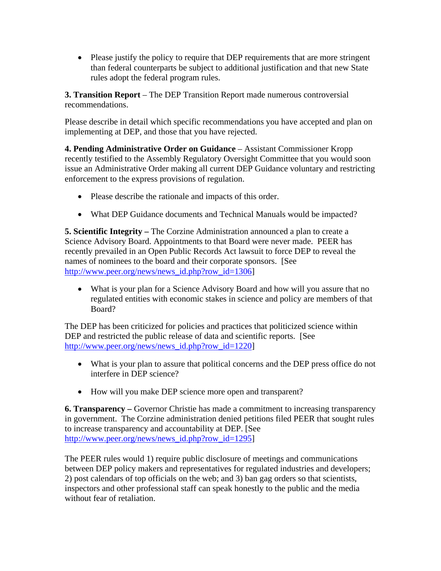• Please justify the policy to require that DEP requirements that are more stringent than federal counterparts be subject to additional justification and that new State rules adopt the federal program rules.

**3. Transition Report** – The DEP Transition Report made numerous controversial recommendations.

Please describe in detail which specific recommendations you have accepted and plan on implementing at DEP, and those that you have rejected.

**4. Pending Administrative Order on Guidance** – Assistant Commissioner Kropp recently testified to the Assembly Regulatory Oversight Committee that you would soon issue an Administrative Order making all current DEP Guidance voluntary and restricting enforcement to the express provisions of regulation.

- Please describe the rationale and impacts of this order.
- What DEP Guidance documents and Technical Manuals would be impacted?

**5. Scientific Integrity –** The Corzine Administration announced a plan to create a Science Advisory Board. Appointments to that Board were never made. PEER has recently prevailed in an Open Public Records Act lawsuit to force DEP to reveal the names of nominees to the board and their corporate sponsors. [See [http://www.peer.org/news/news\\_id.php?row\\_id=1306\]](http://www.peer.org/news/news_id.php?row_id=1306)

• What is your plan for a Science Advisory Board and how will you assure that no regulated entities with economic stakes in science and policy are members of that Board?

The DEP has been criticized for policies and practices that politicized science within DEP and restricted the public release of data and scientific reports. [See [http://www.peer.org/news/news\\_id.php?row\\_id=1220\]](http://www.peer.org/news/news_id.php?row_id=1220)

- What is your plan to assure that political concerns and the DEP press office do not interfere in DEP science?
- How will you make DEP science more open and transparent?

**6. Transparency –** Governor Christie has made a commitment to increasing transparency in government. The Corzine administration denied petitions filed PEER that sought rules to increase transparency and accountability at DEP. [See [http://www.peer.org/news/news\\_id.php?row\\_id=1295\]](http://www.peer.org/news/news_id.php?row_id=1295)

The PEER rules would 1) require public disclosure of meetings and communications between DEP policy makers and representatives for regulated industries and developers; 2) post calendars of top officials on the web; and 3) ban gag orders so that scientists, inspectors and other professional staff can speak honestly to the public and the media without fear of retaliation.